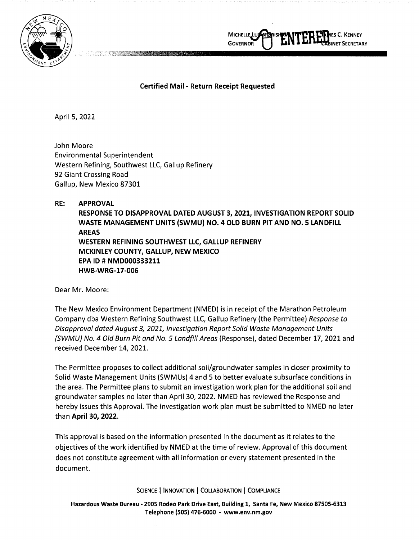



## **Certified Mail** - **Return Receipt Requested**

April 5, 2022

John Moore Environmental Superintendent Western Refining, Southwest LLC, Gallup Refinery 92 Giant Crossing Road Gallup, New Mexico 87301

**RE: APPROVAL** 

**RESPONSE TO DISAPPROVAL DATED AUGUST 3, 2021, INVESTIGATION REPORT SOLID WASTE MANAGEMENT UNITS (SWMU) NO. 4 OLD BURN PIT AND NO. 5 LANDFILL AREAS WESTERN REFINING SOUTHWEST LLC, GALLUP REFINERY MCKINLEY COUNTY, GALLUP, NEW MEXICO EPA ID# NMD000333211 HWB-WRG-17-006** 

Dear Mr. Moore:

The New Mexico Environment Department (NMED) is in receipt of the Marathon Petroleum Company dba Western Refining Southwest LLC, Gallup Refinery (the Permittee) Response to Disapproval dated August 3, 2021, Investigation Report Solid Waste Management Units (SWMU) No. 4 Old Burn Pit and No. 5 Landfill Areas (Response), dated December 17, 2021 and received December 14, 2021.

The Permittee proposes to collect additional soil/groundwater samples in closer proximity to Solid Waste Management Units (SWMUs) 4 and 5 to better evaluate subsurface conditions in the area. The Permittee plans to submit an investigation work plan for the additional soil and groundwater samples no later than April 30, 2022. NMED has reviewed the Response and hereby issues this Approval. The investigation work plan must be submitted to NMED no later than **April 30, 2022.** 

This approval is based on the information presented in the document as it relates to the objectives of the work identified by NMED at the time of review. Approval of this document does not constitute agreement with all information or every statement presented in the document.

**SCIENCE** I **INNOVATION** I **COLLABORATION** I **COMPLIANCE** 

**Hazardous Waste Bureau• 2905 Rodeo Park Drive East, Building 1, Santa Fe, New Mexico 87505-6313 Telephone (SOS) 476-6000** - **www.env.nm.gov**